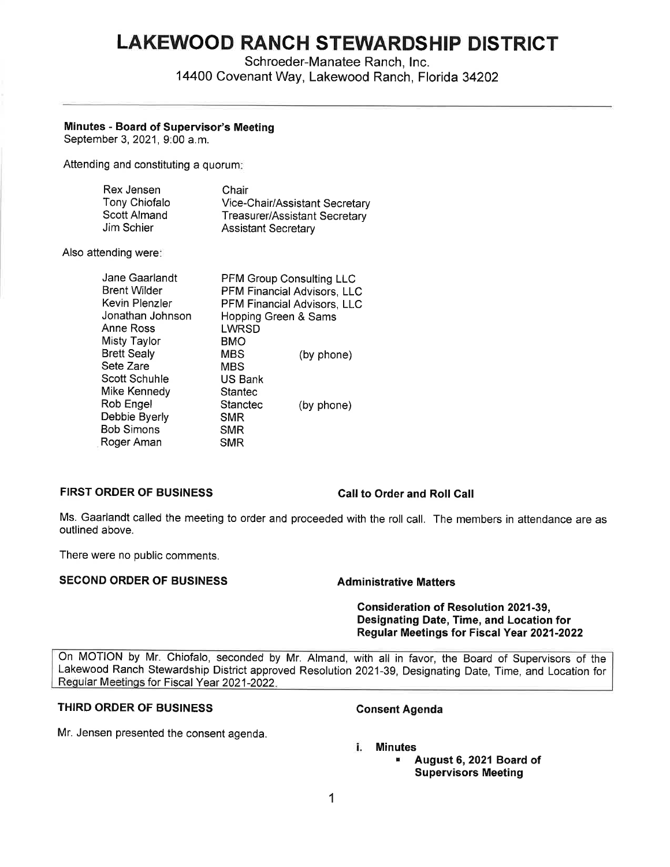# **LAKEWOOD RANCH STEWARDSHIP DISTRICT**

Schroeder-Manatee Ranch, Inc. 14400 Covenant Way, Lakewood Ranch, Florida 34202

# **Minutes - Board of Supervisor's Meeting**

September 3, 2021, 9:00 a.m.

Attending and constituting a quorum:

| Rex Jensen    | Chair                          |
|---------------|--------------------------------|
| Tony Chiofalo | Vice-Chair/Assistant Secretary |
| Scott Almand  | Treasurer/Assistant Secretary  |
| Jim Schier    | <b>Assistant Secretary</b>     |

Also attending were:

| Jane Gaarlandt      | <b>PFM Group Consulting LLC</b> |            |
|---------------------|---------------------------------|------------|
| <b>Brent Wilder</b> | PFM Financial Advisors, LLC     |            |
| Kevin Plenzler      | PFM Financial Advisors, LLC     |            |
| Jonathan Johnson    | Hopping Green & Sams            |            |
| Anne Ross           | LWRSD                           |            |
| Misty Taylor        | BMO                             |            |
| <b>Brett Sealy</b>  | <b>MBS</b>                      | (by phone) |
| Sete Zare           | <b>MBS</b>                      |            |
| Scott Schuhle       | <b>US Bank</b>                  |            |
| Mike Kennedy        | Stantec                         |            |
| Rob Engel           | Stanctec                        | (by phone) |
| Debbie Byerly       | <b>SMR</b>                      |            |
| <b>Bob Simons</b>   | <b>SMR</b>                      |            |
| Roger Aman          | <b>SMR</b>                      |            |
|                     |                                 |            |

# **FIRST ORDER OF BUSINESS Call to Order and Roll Call**

Ms. Gaarlandt called the meeting to order and proceeded with the roll call. The members in attendance are as outlined above.

There were no public comments.

# **SECOND ORDER OF BUSINESS Administrative Matters**

**Consideration of Resolution 2021-39, Designating Date, Time, and Location for Regular Meetings for Fiscal Year 2021-2022** 

On MOTION by Mr. Chiofalo, seconded by Mr. Almand, with all in favor, the Board of Supervisors of the Lakewood Ranch Stewardship District approved Resolution 2021-39, Designating Date, Time, and Location for Regular Meetings for Fiscal Year 2021-2022.

# **THIRD ORDER OF BUSINESS** Consent Agenda

Mr. Jensen presented the consent agenda.

# **i. Minutes**

■ **August 6, 2021 Board of Supervisors Meeting**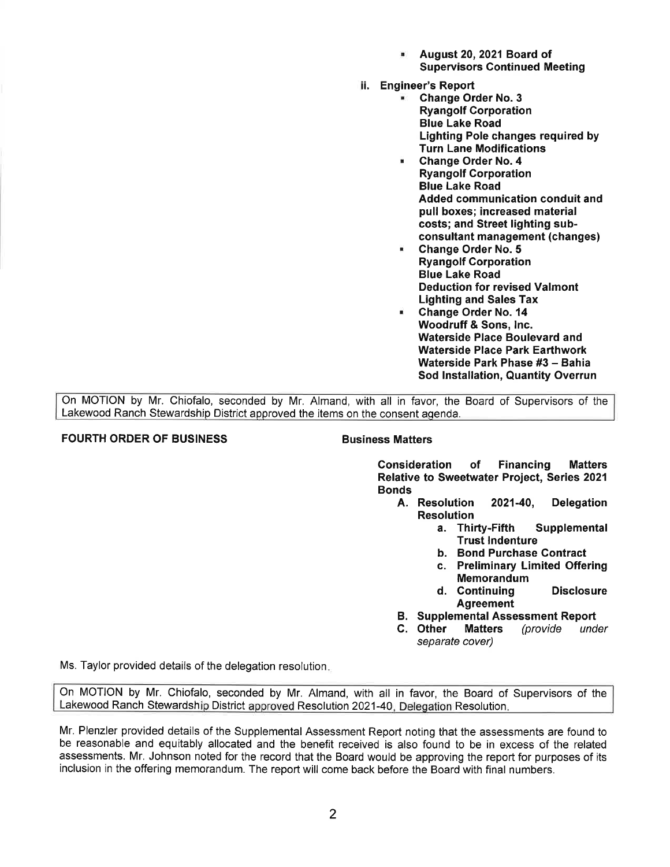- **August 20, 2021 Board of Supervisors Continued Meeting**
- ii. **Engineer's Report** 
	- **Change Order No. 3 Ryangolf Corporation Blue Lake Road Lighting Pole changes required by Turn Lane Modifications**
	- **Change Order No. 4 Ryangolf Corporation Blue Lake Road Added communication conduit and pull boxes; increased material costs; and Street lighting subconsultant management (changes)**
	- **Change Order No. 5 Ryangolf Corporation Blue Lake Road Deduction for revised Valmont Lighting and Sales Tax**
	- **Change Order No. 14 Woodruff** & **Sons, Inc. Waterside Place Boulevard and Waterside Place Park Earthwork Waterside Park Phase #3** - **Bahia Sod Installation, Quantity Overrun**

On MOTION by Mr. Chiofalo, seconded by Mr. Almand, with all in favor, the Board of Supervisors of the Lakewood Ranch Stewardship District approved the items on the consent agenda.

# **FOURTH ORDER OF BUSINESS CONSUMING BUSINESS Matters**

**Consideration of Financing Matters Relative to Sweetwater Project, Series 2021 Bonds** 

- **A. Resolution 2021-40, Delegation Resolution** 
	- **a. Thirty-Fifth Supplemental Trust Indenture**
	- **b. Bond Purchase Contract**
	- **c. Preliminary Limited Offering Memorandum**
	- **d. Continuing Disclosure Agreement**
- **B. Supplemental Assessment Report**
- **C. Other Matters** (provide under separate cover)

Ms. Taylor provided details of the delegation resolution.

On MOTION by Mr. Chiofalo, seconded by Mr. Almand, with all in favor, the Board of Supervisors of the Lakewood Ranch Stewardship District approved Resolution 2021-40, Delegation Resolution.

Mr. Plenzler provided details of the Supplemental Assessment Report noting that the assessments are found to be reasonable and equitably allocated and the benefit received is also found to be in excess of the related assessments. Mr. Johnson noted for the record that the Board would be approving the report for purposes of its inclusion in the offering memorandum. The report will come back before the Board with final numbers.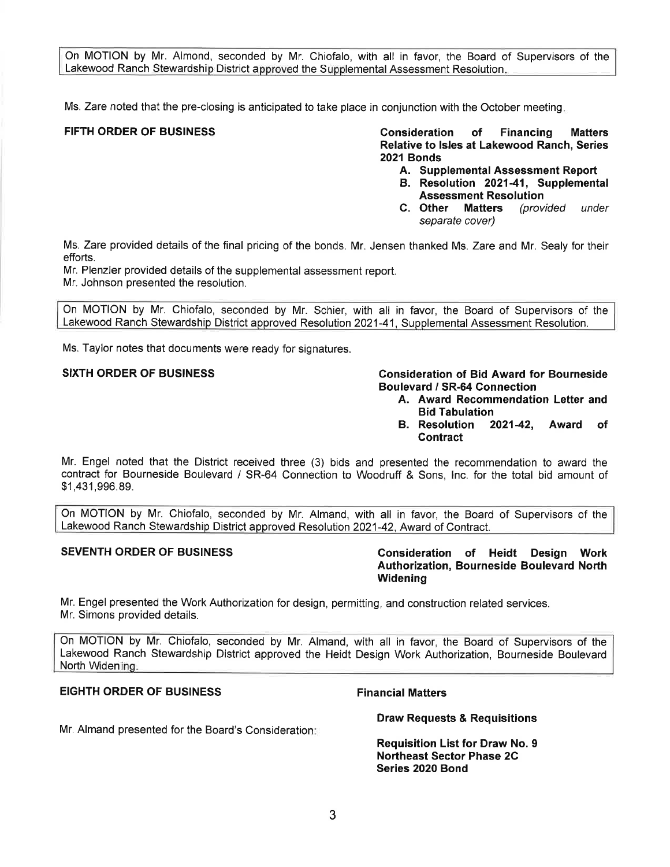On MOTION by Mr. Almond, seconded by Mr. Chiofalo, with all in favor, the Board of Supervisors of the Lakewood Ranch Stewardship District approved the Supplemental Assessment Resolution.

Ms. Zare noted that the pre-closing is anticipated to take place in conjunction with the October meeting.

**FIFTH ORDER OF BUSINESS Consideration of Financing Matters Relative to Isles at Lakewood Ranch, Series 2021 Bonds** 

- **A. Supplemental Assessment Report**
- **B. Resolution 2021-41, Supplemental Assessment Resolution**
- **C. Other Matters** (provided under separate cover)

Ms. Zare provided details of the final pricing of the bonds. Mr. Jensen thanked Ms. Zare and Mr. Sealy for their efforts.

Mr. Plenzler provided details of the supplemental assessment report.

Mr. Johnson presented the resolution.

On MOTION by Mr. Chiofalo, seconded by Mr. Schier, with all in favor, the Board of Supervisors of the Lakewood Ranch Stewardship District approved Resolution 2021-41, Supplemental Assessment Resolution.

Ms. Taylor notes that documents were ready for signatures.

# **SIXTH ORDER OF BUSINESS Consideration of Bid Award for Bourneside Boulevard / SR-64 Connection**

- **A. Award Recommendation Letter and Bid Tabulation**
- **B. Resolution 2021-42, Award of Contract**

Mr. Engel noted that the District received three (3) bids and presented the recommendation to award the contract for Bourneside Boulevard / SR-64 Connection to Woodruff & Sons, Inc. for the total bid amount of \$1 ,[431,996.89](https://431,996.89).

On MOTION by Mr. Chiofalo, seconded by Mr. Almand, with all in favor, the Board of Supervisors of the Lakewood Ranch Stewardship District approved Resolution 2021-42, Award of Contract.

**SEVENTH ORDER OF BUSINESS Consideration of Heidt Design Work Authorization, Bourneside Boulevard North Widening** 

Mr. Engel presented the Work Authorization for design, permitting, and construction related services. Mr. Simons provided details.

On MOTION by Mr. Chiofalo, seconded by Mr. Almand, with all in favor, the Board of Supervisors of the Lakewood Ranch Stewardship District approved the Heidt Design Work Authorization, Bourneside Boulevard North WideninQ.

# **EIGHTH ORDER OF BUSINESS FINANCIAL PROPERTY RESIDENT SETS**

Mr. Almand presented for the Board's Consideration:

**Draw Requests & Requisitions** 

**Requisition List for Draw No. 9 Northeast Sector Phase 2C Series 2020 Bond**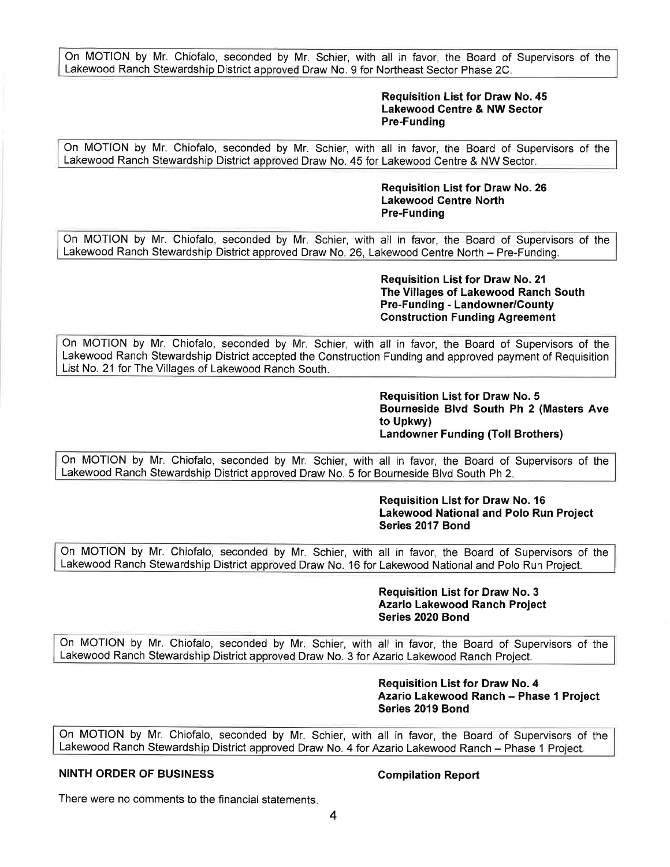On MOTION by Mr. Chiofalo, seconded by Mr. Schier, with all in favor, the Board of Supervisors of the Lakewood Ranch Stewardship District approved Draw No. 9 for Northeast Sector Phase 2C.

# **Requisition List for Draw No. 45 Lakewood Centre & NW Sector Pre-Funding**

On MOTION by Mr. Chiofalo, seconded by Mr. Schier, with all in favor, the Board of Supervisors of the Lakewood Ranch Stewardship District approved Draw No. 45 for Lakewood Centre & NW Sector\_

> **Requisition List for Draw No. 26 Lakewood Centre North Pre-Funding**

On MOTION by Mr. Chiofalo, seconded by Mr. Schier, with all in favor, the Board of Supervisors of the Lakewood Ranch Stewardship District approved Draw No. 26, Lakewood Centre North - Pre-Funding.

> **Requisition List for Draw No. 21 The Villages of Lakewood Ranch South Pre-Funding - Landowner/County Construction Funding Agreement**

On MOTION by Mr. Chiofalo, seconded by Mr. Schier, with all in favor, the Board of Supervisors of the Lakewood Ranch Stewardship District accepted the Construction Funding and approved payment of Requisition List No. 21 for The Villages of Lakewood Ranch South.

> **Requisition List for Draw No. 5 Bourneside Blvd South Ph 2 (Masters Ave to Upkwy) Landowner Funding (Toll Brothers)**

On MOTION by Mr. Chiofalo, seconded by Mr. Schier, with all in favor, the Board of Supervisors of the Lakewood Ranch Stewardship District approved Draw No. 5 for Bourneside Blvd South Ph 2.

> **Requisition List for Draw No. 16 Lakewood National and Polo Run Project Series 2017 Bond**

On MOTION by Mr. Chiofalo, seconded by Mr. Schier, with all in favor, the Board of Supervisors of the Lakewood Ranch Stewardship District approved Draw No. 16 for Lakewood National and Polo Run Project.

> **Requisition List for Draw No. 3 Azario Lakewood Ranch Project Series 2020 Bond**

On MOTION by Mr. Chiofalo, seconded by Mr. Schier, with all in favor, the Board of Supervisors of the Lakewood Ranch Stewardship District approved Draw No. 3 for Azario Lakewood Ranch Project.

> **Requisition List for Draw No. 4 Azario Lakewood Ranch - Phase 1 Project Series 2019 Bond**

On MOTION by Mr. Chiofalo, seconded by Mr. Schier, with all in favor, the Board of Supervisors of the Lakewood Ranch Stewardship District approved Draw No. 4 for Azario Lakewood Ranch - Phase 1 Project.

# **NINTH ORDER OF BUSINESS Compilation Report**

There were no comments to the financial statements.